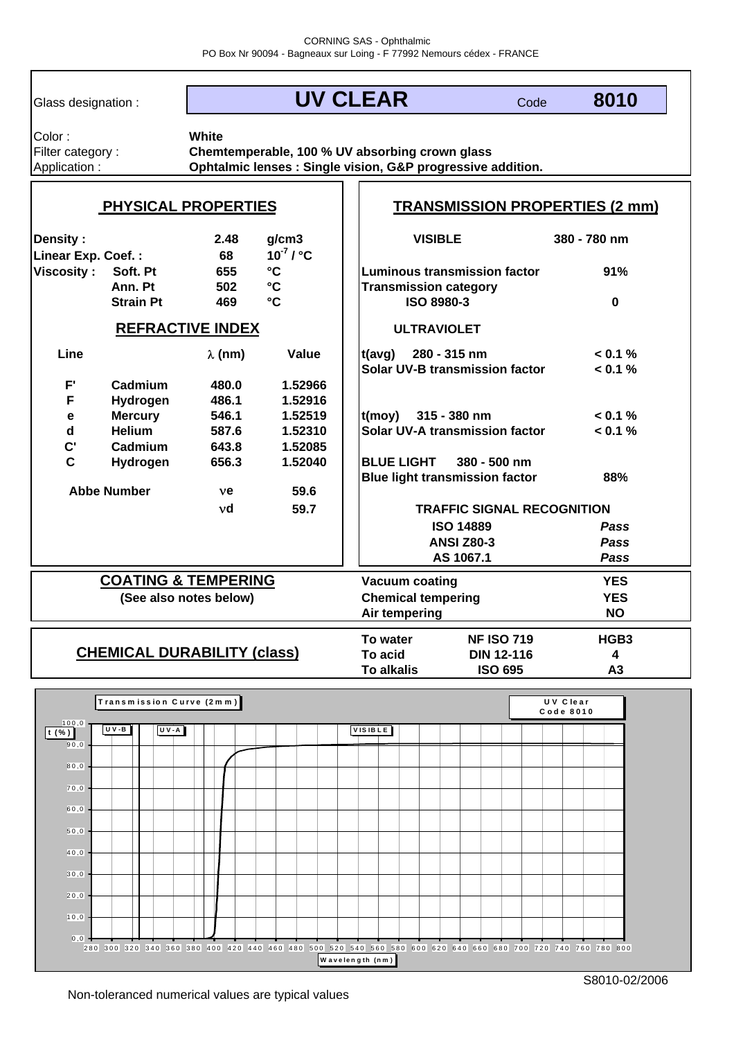Glass designation :

**UV CLEAR**

Color : Filter category : Application :

**Ophtalmic lenses : Single vision, G&P progressive addition. White Chemtemperable, 100 % UV absorbing crown glass**

| <b>PHYSICAL PROPERTIES</b>                           |                  |                |                                   | <b>TRANSMISSION PROPERTIES (2 mm)</b> |                                       |                  |  |
|------------------------------------------------------|------------------|----------------|-----------------------------------|---------------------------------------|---------------------------------------|------------------|--|
| <b>Density:</b><br>Linear Exp. Coef.:                |                  | 2.48<br>68     | g/cm3<br>$10^{-7}$ / $^{\circ}$ C | <b>VISIBLE</b>                        |                                       | 380 - 780 nm     |  |
| <b>Viscosity:</b><br>Soft. Pt                        |                  | 655            | $\mathbf{C}$                      |                                       | <b>Luminous transmission factor</b>   | 91%              |  |
|                                                      | Ann. Pt<br>502   |                | $\mathbf{C}$                      | <b>Transmission category</b>          |                                       |                  |  |
|                                                      | <b>Strain Pt</b> | 469            | $^{\circ}$ C                      | <b>ISO 8980-3</b>                     |                                       | $\bf{0}$         |  |
| <b>REFRACTIVE INDEX</b>                              |                  |                |                                   | <b>ULTRAVIOLET</b>                    |                                       |                  |  |
| Line                                                 |                  | $\lambda$ (nm) | <b>Value</b>                      | $t(avg)$ 280 - 315 nm                 |                                       | < 0.1 %          |  |
|                                                      |                  |                |                                   |                                       | Solar UV-B transmission factor        | $< 0.1 \%$       |  |
| F'                                                   | Cadmium          | 480.0          | 1.52966                           |                                       |                                       |                  |  |
| F                                                    | Hydrogen         | 486.1          | 1.52916                           |                                       |                                       |                  |  |
| е                                                    | <b>Mercury</b>   | 546.1          | 1.52519                           | $(t (moy) 315 - 380 nm)$              |                                       | $< 0.1 \%$       |  |
| $\mathsf{d}$                                         | <b>Helium</b>    | 587.6          | 1.52310                           |                                       | Solar UV-A transmission factor        | $< 0.1 \%$       |  |
| $\mathbf{C}^{\prime}$                                | Cadmium          | 643.8          | 1.52085                           |                                       |                                       |                  |  |
| $\mathbf{C}$                                         | Hydrogen         | 656.3          | 1.52040                           | <b>BLUE LIGHT</b>                     | 380 - 500 nm                          |                  |  |
|                                                      |                  |                |                                   |                                       | <b>Blue light transmission factor</b> | 88%              |  |
| <b>Abbe Number</b><br>59.6<br>ve                     |                  |                |                                   |                                       |                                       |                  |  |
|                                                      |                  | vd             | 59.7                              |                                       | <b>TRAFFIC SIGNAL RECOGNITION</b>     |                  |  |
|                                                      |                  |                |                                   | <b>ISO 14889</b>                      |                                       | Pass             |  |
|                                                      |                  |                |                                   | <b>ANSI Z80-3</b>                     |                                       | Pass             |  |
|                                                      |                  |                | AS 1067.1                         |                                       | Pass                                  |                  |  |
| <b>COATING &amp; TEMPERING</b>                       |                  |                |                                   |                                       | <b>Vacuum coating</b><br><b>YES</b>   |                  |  |
| (See also notes below)                               |                  |                |                                   | <b>Chemical tempering</b>             |                                       | <b>YES</b>       |  |
|                                                      |                  |                |                                   | Air tempering                         |                                       |                  |  |
|                                                      |                  |                |                                   | To water                              | <b>NF ISO 719</b>                     | HGB <sub>3</sub> |  |
| <b>CHEMICAL DURABILITY (class)</b>                   |                  |                |                                   | To acid                               | <b>DIN 12-116</b>                     | 4                |  |
|                                                      |                  |                |                                   | <b>To alkalis</b>                     | <b>ISO 695</b>                        | A3               |  |
| $\mathsf{T}$ ranamiasian Curva (2mm)<br>$11 M$ Class |                  |                |                                   |                                       |                                       |                  |  |